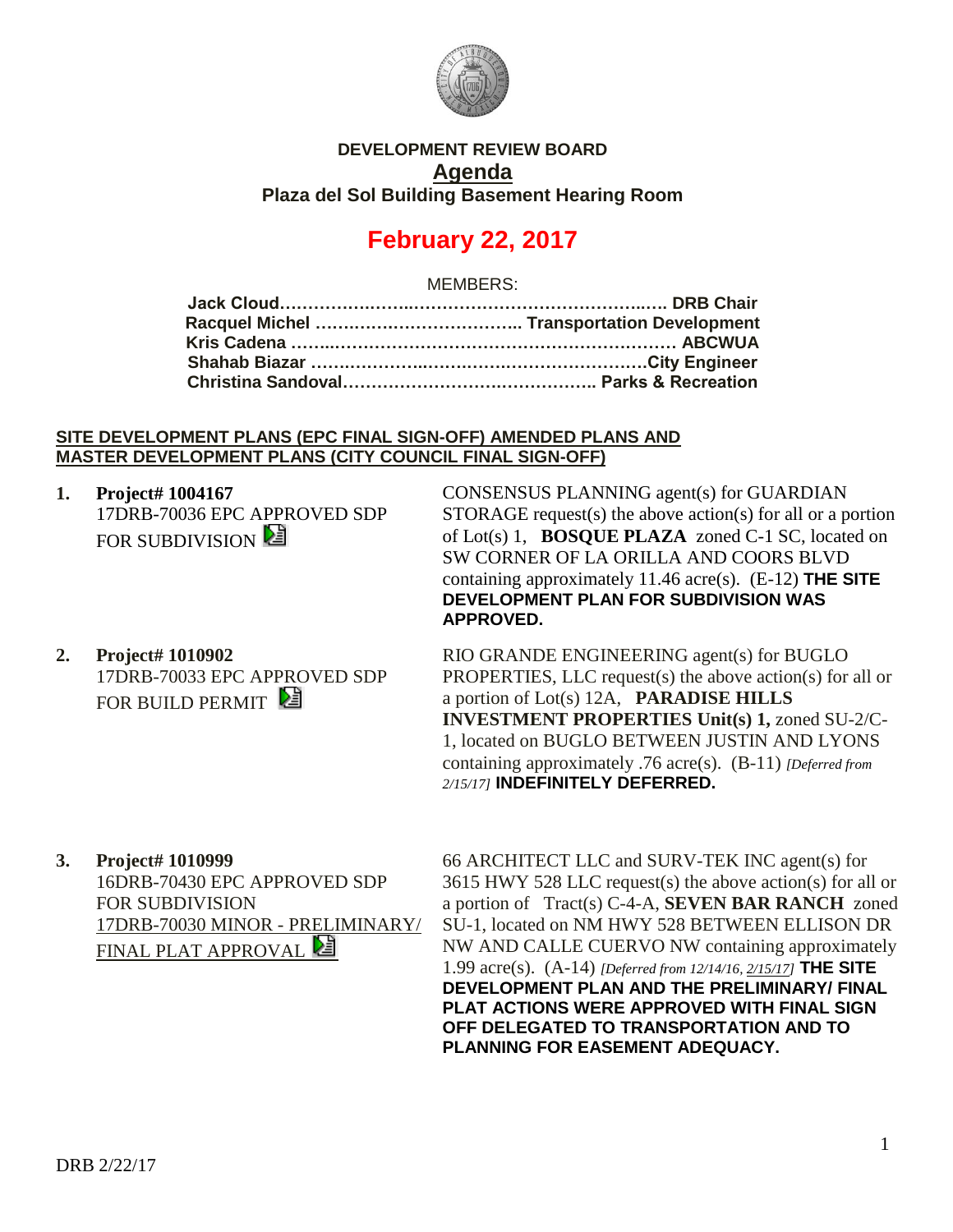

### **DEVELOPMENT REVIEW BOARD Agenda Plaza del Sol Building Basement Hearing Room**

# **February 22, 2017**

MEMBERS:

#### **SITE DEVELOPMENT PLANS (EPC FINAL SIGN-OFF) AMENDED PLANS AND MASTER DEVELOPMENT PLANS (CITY COUNCIL FINAL SIGN-OFF)**

- **1. Project# 1004167**
	- 17DRB-70036 EPC APPROVED SDP FOR SUBDIVISION **E**
- CONSENSUS PLANNING agent(s) for GUARDIAN STORAGE request(s) the above action(s) for all or a portion of Lot(s) 1, **BOSQUE PLAZA** zoned C-1 SC, located on SW CORNER OF LA ORILLA AND COORS BLVD containing approximately 11.46 acre(s). (E-12) **THE SITE DEVELOPMENT PLAN FOR SUBDIVISION WAS APPROVED.**
- **2. Project# 1010902** 17DRB-70033 EPC APPROVED SDP FOR BUILD PERMIT

RIO GRANDE ENGINEERING agent(s) for BUGLO PROPERTIES, LLC request(s) the above action(s) for all or a portion of Lot(s) 12A, **PARADISE HILLS INVESTMENT PROPERTIES Unit(s) 1,** zoned SU-2/C-1, located on BUGLO BETWEEN JUSTIN AND LYONS containing approximately .76 acre(s). (B-11) *[Deferred from 2/15/17]* **INDEFINITELY DEFERRED.**

**3. Project# 1010999** 16DRB-70430 EPC APPROVED SDP FOR SUBDIVISION 17DRB-70030 MINOR - PRELIMINARY/ **FINAL PLAT APPROVAL** 

66 ARCHITECT LLC and SURV-TEK INC agent(s) for 3615 HWY 528 LLC request(s) the above action(s) for all or a portion of Tract(s) C-4-A, **SEVEN BAR RANCH** zoned SU-1, located on NM HWY 528 BETWEEN ELLISON DR NW AND CALLE CUERVO NW containing approximately 1.99 acre(s). (A-14) *[Deferred from 12/14/16, 2/15/17]* **THE SITE DEVELOPMENT PLAN AND THE PRELIMINARY/ FINAL PLAT ACTIONS WERE APPROVED WITH FINAL SIGN OFF DELEGATED TO TRANSPORTATION AND TO PLANNING FOR EASEMENT ADEQUACY.**